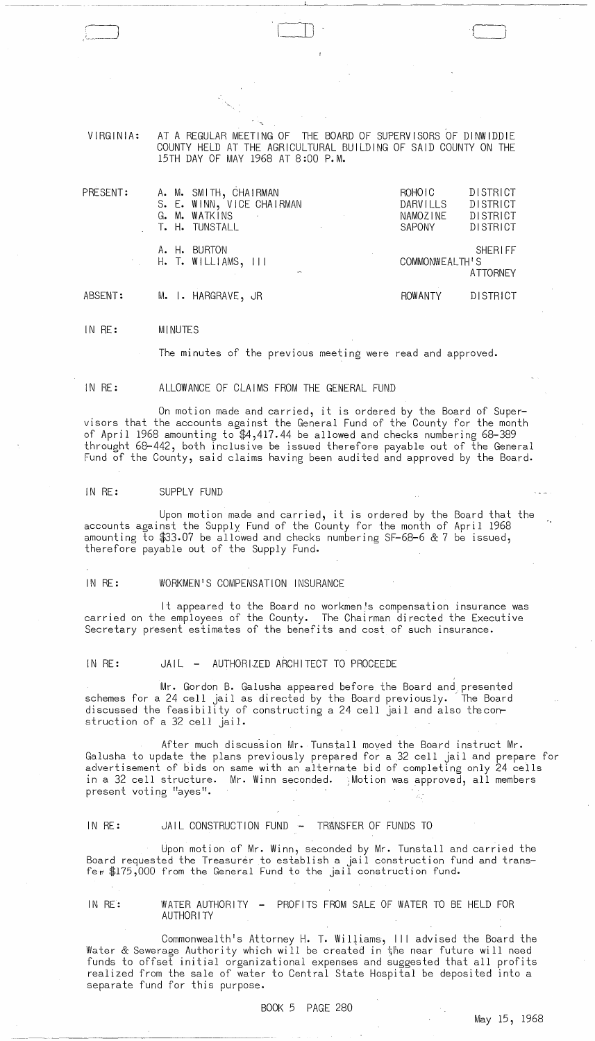VIRGINIA: AT A REGULAR MEETING OF THE BOARD OF SUPERVISORS OF DINWIDDIE COUNTY HELD AT THE AGRICULTURAL BUILDING OF SAID COUNTY ON THE 15TH DAY OF MAY 1968 AT 8:00 P.M.

 $\Box$ 

| PRESENT: |  | A. M. SMITH, CHAIRMAN<br>S. E. WINN, VICE CHAIRMAN<br>G. M. WATKINS<br>T. H. TUNSTALL | and the state of<br>and the contract of | ROHOIC<br>DARVILLS<br>NAMOZINE<br>SAPONY | DISTRICT<br><b>DISTRICT</b><br>DISTRICT<br><b>DISTRICT</b> |
|----------|--|---------------------------------------------------------------------------------------|-----------------------------------------|------------------------------------------|------------------------------------------------------------|
|          |  | A. H. BURTON<br>$H.$ T. WILLIAMS, $111$<br>$\sim$                                     |                                         | COMMONWEALTH'S                           | <b>SHERIFF</b><br><b>ATTORNEY</b>                          |
| ABSENT:  |  | M. I. HARGRAVE, JR                                                                    |                                         | ROWANTY                                  | DISTRICT                                                   |

IN RE: MINUTES

The minutes of the previous meeting were read and approved.

IN RE: ALLOWANCE OF CLAIMS FROM THE GENERAL FUND

On motion made and carried, it is ordered by the Board of Supervisors that the accounts against the General Fund of the County for the month of April 1968 amounting to \$4,417.44 be allowed and checks numbering 68-389 throught 68-442, both inclusive be issued therefore payable out of the General Fund of the County, said claims having been audited and approved by the Board.

#### IN RE: SUPPLY FUND

- ----- -~---~-----~~-~---

Upon motion made and carried, it is ordered by the Board that the accounts against the Supply Fund of the County for the month of April 1968 amounting to \$33.07 be allowed and checks numbering SF-68-6 & 7 be issued, therefore payable out of the Supply Fund.

### IN RE: WORKMEN'S COMPENSATION INSURANCE

It appeared to the Board no workmen!s compensation insurance was carried on the employees of the County. The Chairman directed the Executive Secretary present estimates of the benefits and cost of such insurance.

IN RE: JAIL - AUTHORIZED ARCHITECT TO PROCEEDE

Mr. Gordon B. Galusha appeared before the Board and presented schemes for a 24 cell jail as directed by the Board previously. ~The Board discussed the feasibility of constructing a 24 cell jail and also the construction of a 32 cell jail.

After much discussion Mr. Tunstall moved the Board instruct Mr. Galusha to update the plans previously prepared for a 32 cell jail and prepare for advertisement of bids on same with an alternate bid of completing only 24 ceils in a 32 cell structure. Mr. Winn seconded. ;Motion was approved, all members present voting "ayes".

# IN RE: JAIL CONSTRUCTION FUND - TRANSFER OF FUNDS TO

Upon motion of Mr. Winn, seconded by Mr. Tunstall and carried the Board requested the Treasurer to establish a jail construction fund and trans fe $r \oplus 175,000$  from the General Fund to the jail construction fund.

## IN RE: WATER AUTHORITY - PROFITS FROM SALE OF WATER TO BE HELD FOR AUTHORITY

Commonwealth's Attorney H. T. Williams, III advised the Board the Water & Sewerage Authority which will be created in the near future will need funds to offset initial organizational expenses and suggested that all profits realized from the sale of water to Central State Hospital be deposited into a separate fund for this purpose.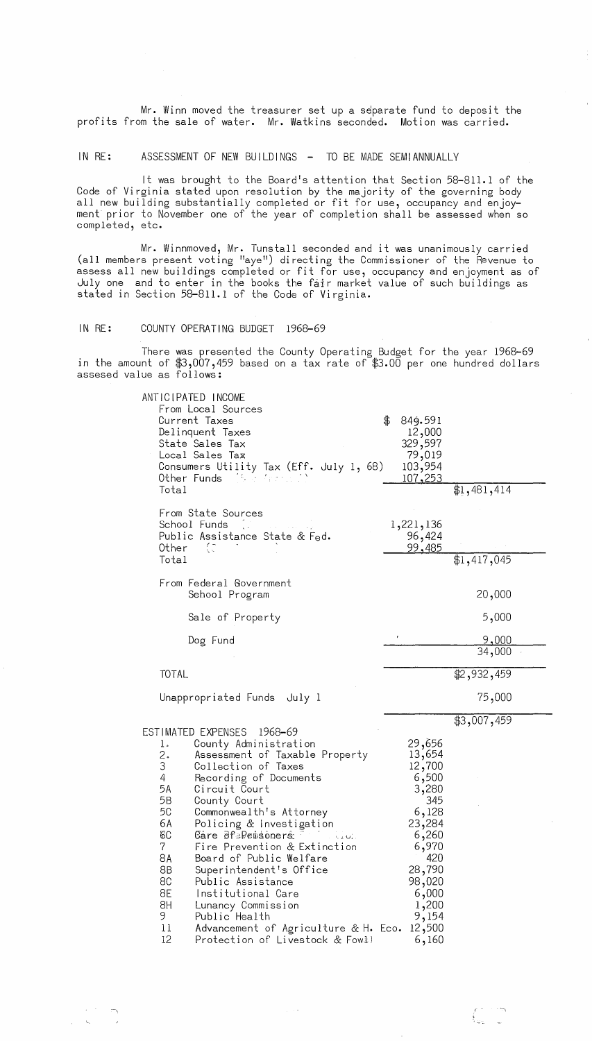Mr. Winn moved the treasurer set up a separate fund to deposit the profits from the sale of water. Mr. Watkins seconded. Motion was carried.

IN RE: ASSESSMENT OF NEW BUILDINGS - TO BE MADE SEMIANNUALLY

It was brought to the Board's attention that Section 58-811.1 of the Code of Virginia stated upon resolution by the majority of the governing body all new building substantially completed or fit for use, occupancy and enjoyment prior to November one of the year of completion shall be assessed when so completed, etc.

Mr. Winnmoved, Mr. Tunstall seconded and it was unanimously carried (all members present voting "aye") directing the Commissioner of the  $\tilde{R}$ evenue to assess all new buildings completed or fit for use, occupancy and enjoyment as of July one and to enter in the books the fair market value of such buildings as stated in Section 58-811.1 of the Code of Virginia.

IN RE: COUNTY OPERATING BUDGET 1968-69

 $-\frac{1}{2}$ 

There was presented the County Operating Budget for the year 1968-69 in the amount of  $\$3,007,459$  based on a tax rate of  $\$3.00$  per one hundred dollars assesed value as follows:

| ANTICIPATED INCOME<br>From Local Sources<br>Current Taxes<br>Delinquent Taxes<br>State Sales Tax<br>Local Sales Tax<br>Consumers Utility Tax (Eff. July 1, 68)<br>Other Funds (Sob April 1)<br>Total                                                                                                                                                                                                                                                                                                                                                                                                                                           | \$<br>849.591<br>12,000<br>329,597<br>79,019<br>103,954<br>107,253<br>\$1,481,414                                                                                                |
|------------------------------------------------------------------------------------------------------------------------------------------------------------------------------------------------------------------------------------------------------------------------------------------------------------------------------------------------------------------------------------------------------------------------------------------------------------------------------------------------------------------------------------------------------------------------------------------------------------------------------------------------|----------------------------------------------------------------------------------------------------------------------------------------------------------------------------------|
| From State Sources<br>School Funds<br>Public Assistance State & Fed.<br>ζC<br>Other<br>Total                                                                                                                                                                                                                                                                                                                                                                                                                                                                                                                                                   | 1,221,136<br>96,424<br>99,485<br>\$1,417,045                                                                                                                                     |
| From Federal Government<br>Sehool Program                                                                                                                                                                                                                                                                                                                                                                                                                                                                                                                                                                                                      | 20,000                                                                                                                                                                           |
| Sale of Property                                                                                                                                                                                                                                                                                                                                                                                                                                                                                                                                                                                                                               | 5,000                                                                                                                                                                            |
| Dog Fund                                                                                                                                                                                                                                                                                                                                                                                                                                                                                                                                                                                                                                       | $\pmb{\epsilon}$<br>9,000<br>34,000                                                                                                                                              |
| <b>TOTAL</b>                                                                                                                                                                                                                                                                                                                                                                                                                                                                                                                                                                                                                                   | \$2,932,459                                                                                                                                                                      |
| Unappropriated Funds July 1                                                                                                                                                                                                                                                                                                                                                                                                                                                                                                                                                                                                                    | 75,000                                                                                                                                                                           |
| ESTIMATED EXPENSES 1968-69<br>County Administration<br>1.<br>2.<br>3<br>Assessment of Taxable Property<br>Collection of Taxes<br>4<br>Recording of Documents<br>5A<br>Circuit Court<br>5B<br>County Court<br>5C<br>Commonwealth's Attorney<br>6A<br>Policing & Investigation<br>8С<br>Care of Pensoners<br>$\sim 0.4$ GeV.<br>$\overline{7}$<br>Fire Prevention & Extinction<br>8А<br>Board of Public Welfare<br>8B<br>Superintendent's Office<br>8C<br>Public Assistance<br>8E<br>Institutional Care<br>BH<br>Lunancy Commission<br>9<br>Public Health<br>Advancement of Agriculture & H. Eco.<br>11<br>12<br>Protection of Livestock & Fowll | \$3,007,459<br>29,656<br>13,654<br>12,700<br>6,500<br>3,280<br>345<br>6,128<br>23,284<br>6,260<br>6,970<br>420<br>28,790<br>98,020<br>6,000<br>1,200<br>9,154<br>12,500<br>6,160 |

 $\mathcal{A} \rightarrow \mathcal{B}$  .

 $\int_{\omega_2}^{+\infty} \frac{d\omega}{2}$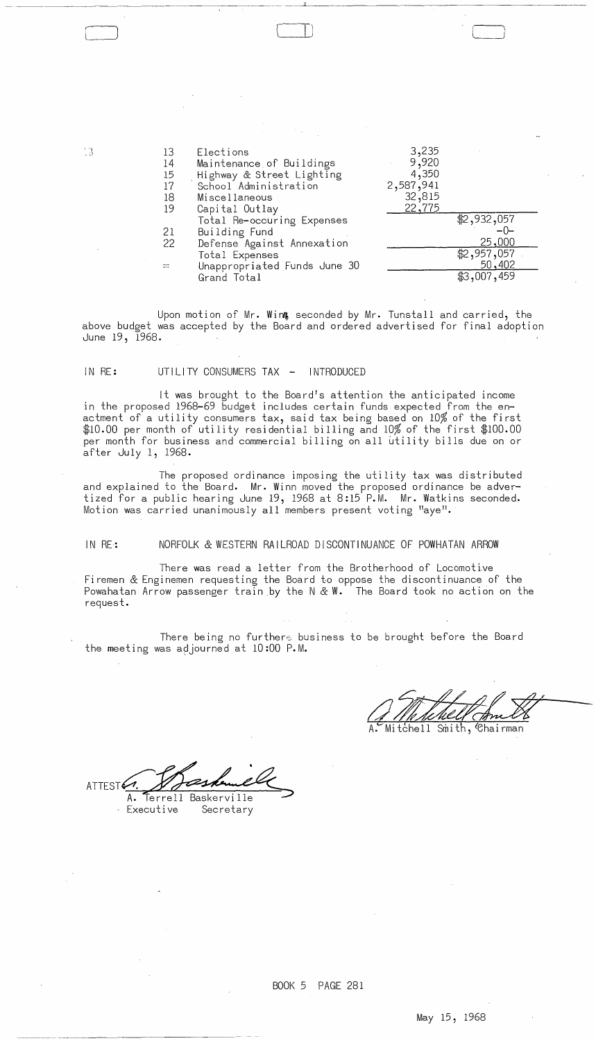| . 3 | 13             | Elections                    | 3,235     |             |
|-----|----------------|------------------------------|-----------|-------------|
|     | 14             | Maintenance of Buildings     | 9,920     |             |
|     | 15             | Highway & Street Lighting    | 4,350     |             |
|     | 17             | School Administration        | 2,587,941 |             |
|     | 18             | Miscellaneous                | 32,815    |             |
|     | 19             | Capital Outlay               | 22,775    |             |
|     |                | Total Re-occuring Expenses   |           | \$2,932,057 |
|     | 21             | Building Fund                |           | $-0-$       |
|     | 22             | Defense Against Annexation   |           | 25,000      |
|     |                | Total Expenses               |           | \$2,957,057 |
|     | $\mathbb{R}^n$ | Unappropriated Funds June 30 |           | 50,402      |
|     |                | Grand Total                  |           | \$3,007,459 |
|     |                |                              |           |             |

Upon motion of Mr. Wint seconded by Mr. Tunstall and carried, the above budget was accepted by the Board and ordered advertised for final adoption June 19, 1968.

### IN RE: UTILITY CONSUMERS TAX - INTRODUCED

~----"----------

" ")

It was brought to the Board's attention the anticipated income in the proposed 1968-69 budget includes certain funds expected from the enactment of a utility consumers tax, said tax being based on 10% of the first \$10.00 per month of utility residential billing and 10% of the first \$100.00 per month for business and commercial billing on all utility bills due on or after July 1, 1968.

The proposed ordinance imposing the utility tax was distributed and explained to the Board. Mr. Winn moved the proposed ordinance be advertized for a public hearing June 19, 1968 at 8:15 **P.M.** Mr. Watkins seconded. Motion was carried unanimously all members present voting "aye".

IN RE: NORFOLK & WESTERN RAILROAD DISCONTINUANCE OF POWHATAN ARROW

There was read a letter from the Brotherhood of Locomotive Firemen & Enginemen requesting the Board to oppose the discontinuance of the Powahatan Arrow passenger train .by the N & **W.** The Board took no action on the request.

There being no furthers business to be brought before the Board the meeting was adjourned at 10:00 P.M.

Mitchell Smith, Chairman

ATTEST 4. 1. 1997 ALLANDREN.<br>A. Terrell Baskerville<br>Executive Secretary

May 15, 1968